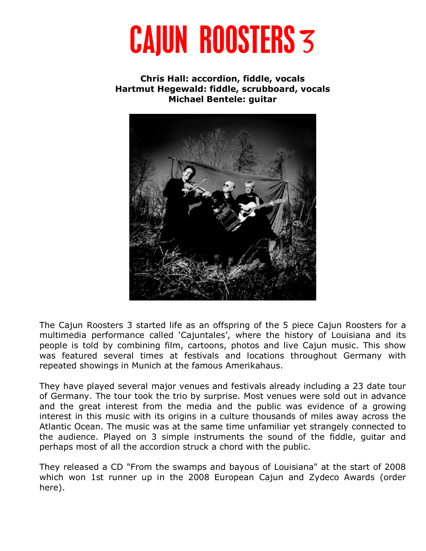

**Chris Hall: accordion, fiddle, vocals Hartmut Hegewald: fiddle, scrubboard, vocals Michael Bentele: guitar** 



The Cajun Roosters 3 started life as an offspring of the 5 piece Cajun Roosters for a multimedia performance called 'Cajuntales', where the history of Louisiana and its people is told by combining film, cartoons, photos and live Cajun music. This show was featured several times at festivals and locations throughout Germany with repeated showings in Munich at the famous Amerikahaus.

They have played several major venues and festivals already including a 23 date tour of Germany. The tour took the trio by surprise. Most venues were sold out in advance and the great interest from the media and the public was evidence of a growing interest in this music with its origins in a culture thousands of miles away across the Atlantic Ocean. The music was at the same time unfamiliar yet strangely connected to the audience. Played on 3 simple instruments the sound of the fiddle, guitar and perhaps most of all the accordion struck a chord with the public.

They released a CD "From the swamps and bayous of Louisiana" at the start of 2008 which won 1st runner up in the 2008 European Cajun and Zydeco Awards (order here).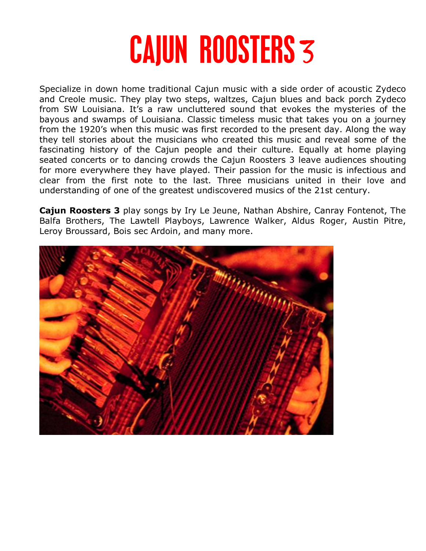# **CAJUN ROOSTERS 3**

Specialize in down home traditional Cajun music with a side order of acoustic Zydeco and Creole music. They play two steps, waltzes, Cajun blues and back porch Zydeco from SW Louisiana. It's a raw uncluttered sound that evokes the mysteries of the bayous and swamps of Louisiana. Classic timeless music that takes you on a journey from the 1920's when this music was first recorded to the present day. Along the way they tell stories about the musicians who created this music and reveal some of the fascinating history of the Cajun people and their culture. Equally at home playing seated concerts or to dancing crowds the Cajun Roosters 3 leave audiences shouting for more everywhere they have played. Their passion for the music is infectious and clear from the first note to the last. Three musicians united in their love and understanding of one of the greatest undiscovered musics of the 21st century.

**Cajun Roosters 3** play songs by Iry Le Jeune, Nathan Abshire, Canray Fontenot, The Balfa Brothers, The Lawtell Playboys, Lawrence Walker, Aldus Roger, Austin Pitre, Leroy Broussard, Bois sec Ardoin, and many more.

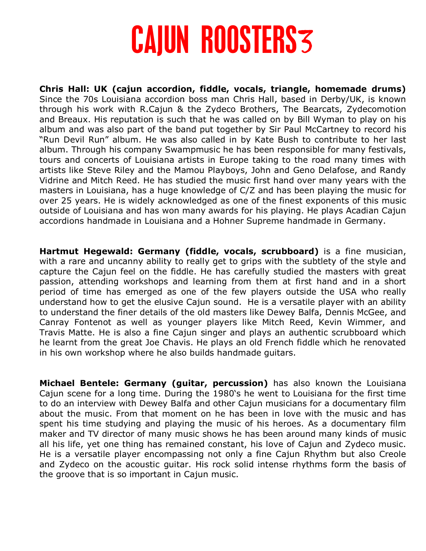## **CAJUN ROOSTERS 3**

**Chris Hall: UK (cajun accordion, fiddle, vocals, triangle, homemade drums)**  Since the 70s Louisiana accordion boss man Chris Hall, based in Derby/UK, is known through his work with R.Cajun & the Zydeco Brothers, The Bearcats, Zydecomotion and Breaux. His reputation is such that he was called on by Bill Wyman to play on his album and was also part of the band put together by Sir Paul McCartney to record his "Run Devil Run" album. He was also called in by Kate Bush to contribute to her last album. Through his company Swampmusic he has been responsible for many festivals, tours and concerts of Louisiana artists in Europe taking to the road many times with artists like Steve Riley and the Mamou Playboys, John and Geno Delafose, and Randy Vidrine and Mitch Reed. He has studied the music first hand over many years with the masters in Louisiana, has a huge knowledge of C/Z and has been playing the music for over 25 years. He is widely acknowledged as one of the finest exponents of this music outside of Louisiana and has won many awards for his playing. He plays Acadian Cajun accordions handmade in Louisiana and a Hohner Supreme handmade in Germany.

**Hartmut Hegewald: Germany (fiddle, vocals, scrubboard)** is a fine musician, with a rare and uncanny ability to really get to grips with the subtlety of the style and capture the Cajun feel on the fiddle. He has carefully studied the masters with great passion, attending workshops and learning from them at first hand and in a short period of time has emerged as one of the few players outside the USA who really understand how to get the elusive Cajun sound. He is a versatile player with an ability to understand the finer details of the old masters like Dewey Balfa, Dennis McGee, and Canray Fontenot as well as younger players like Mitch Reed, Kevin Wimmer, and Travis Matte. He is also a fine Cajun singer and plays an authentic scrubboard which he learnt from the great Joe Chavis. He plays an old French fiddle which he renovated in his own workshop where he also builds handmade guitars.

**Michael Bentele: Germany (guitar, percussion)** has also known the Louisiana Cajun scene for a long time. During the 1980's he went to Louisiana for the first time to do an interview with Dewey Balfa and other Cajun musicians for a documentary film about the music. From that moment on he has been in love with the music and has spent his time studying and playing the music of his heroes. As a documentary film maker and TV director of many music shows he has been around many kinds of music all his life, yet one thing has remained constant, his love of Cajun and Zydeco music. He is a versatile player encompassing not only a fine Cajun Rhythm but also Creole and Zydeco on the acoustic guitar. His rock solid intense rhythms form the basis of the groove that is so important in Cajun music.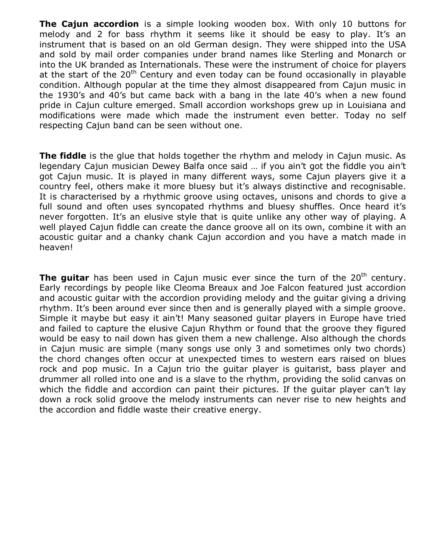**The Cajun accordion** is a simple looking wooden box. With only 10 buttons for melody and 2 for bass rhythm it seems like it should be easy to play. It's an instrument that is based on an old German design. They were shipped into the USA and sold by mail order companies under brand names like Sterling and Monarch or into the UK branded as Internationals. These were the instrument of choice for players at the start of the  $20<sup>th</sup>$  Century and even today can be found occasionally in playable condition. Although popular at the time they almost disappeared from Cajun music in the 1930's and 40's but came back with a bang in the late 40's when a new found pride in Cajun culture emerged. Small accordion workshops grew up in Louisiana and modifications were made which made the instrument even better. Today no self respecting Cajun band can be seen without one.

**The fiddle** is the glue that holds together the rhythm and melody in Cajun music. As legendary Cajun musician Dewey Balfa once said … if you ain't got the fiddle you ain't got Cajun music. It is played in many different ways, some Cajun players give it a country feel, others make it more bluesy but it's always distinctive and recognisable. It is characterised by a rhythmic groove using octaves, unisons and chords to give a full sound and often uses syncopated rhythms and bluesy shuffles. Once heard it's never forgotten. It's an elusive style that is quite unlike any other way of playing. A well played Cajun fiddle can create the dance groove all on its own, combine it with an acoustic guitar and a chanky chank Cajun accordion and you have a match made in heaven!

**The guitar** has been used in Cajun music ever since the turn of the 20<sup>th</sup> century. Early recordings by people like Cleoma Breaux and Joe Falcon featured just accordion and acoustic guitar with the accordion providing melody and the guitar giving a driving rhythm. It's been around ever since then and is generally played with a simple groove. Simple it maybe but easy it ain't! Many seasoned guitar players in Europe have tried and failed to capture the elusive Cajun Rhythm or found that the groove they figured would be easy to nail down has given them a new challenge. Also although the chords in Cajun music are simple (many songs use only 3 and sometimes only two chords) the chord changes often occur at unexpected times to western ears raised on blues rock and pop music. In a Cajun trio the guitar player is guitarist, bass player and drummer all rolled into one and is a slave to the rhythm, providing the solid canvas on which the fiddle and accordion can paint their pictures. If the guitar player can't lay down a rock solid groove the melody instruments can never rise to new heights and the accordion and fiddle waste their creative energy.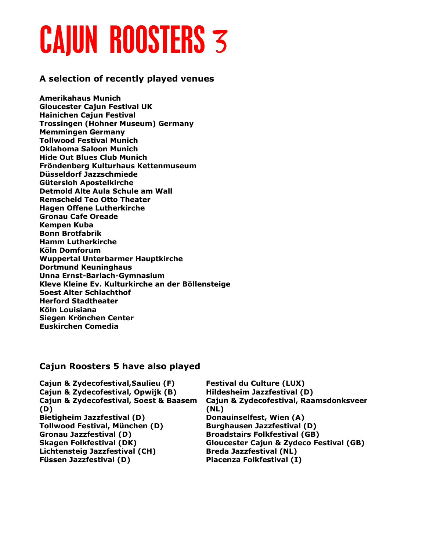## **CAJUN ROOSTERS <sup>3</sup>**

#### **A selection of recently played venues**

**Amerikahaus Munich Gloucester Cajun Festival UK Hainichen Cajun Festival Trossingen (Hohner Museum) Germany Memmingen Germany Tollwood Festival Munich Oklahoma Saloon Munich Hide Out Blues Club Munich Fröndenberg Kulturhaus Kettenmuseum Düsseldorf Jazzschmiede Gütersloh Apostelkirche Detmold Alte Aula Schule am Wall Remscheid Teo Otto Theater Hagen Offene Lutherkirche Gronau Cafe Oreade Kempen Kuba Bonn Brotfabrik Hamm Lutherkirche Köln Domforum Wuppertal Unterbarmer Hauptkirche Dortmund Keuninghaus Unna Ernst-Barlach-Gymnasium Kleve Kleine Ev. Kulturkirche an der Böllensteige Soest Alter Schlachthof Herford Stadtheater Köln Louisiana Siegen Krönchen Center Euskirchen Comedia**

#### **Cajun Roosters 5 have also played**

**Cajun & Zydecofestival,Saulieu (F) Festival du Culture (LUX) Cajun & Zydecofestival, Opwijk (B) Hildesheim Jazzfestival (D) Cajun & Zydecofestival, Soest & Baasem (D) Bietigheim Jazzfestival (D) Donauinselfest, Wien (A) Tollwood Festival, München (D) Burghausen Jazzfestival (D) Gronau Jazzfestival (D) Broadstairs Folkfestival (GB) Lichtensteig Jazzfestival (CH) Breda Jazzfestival (NL) Füssen Jazzfestival (D) Piacenza Folkfestival (I)** 

**Cajun & Zydecofestival, Raamsdonksveer (NL) Skagen Folkfestival (DK) Gloucester Cajun & Zydeco Festival (GB)**